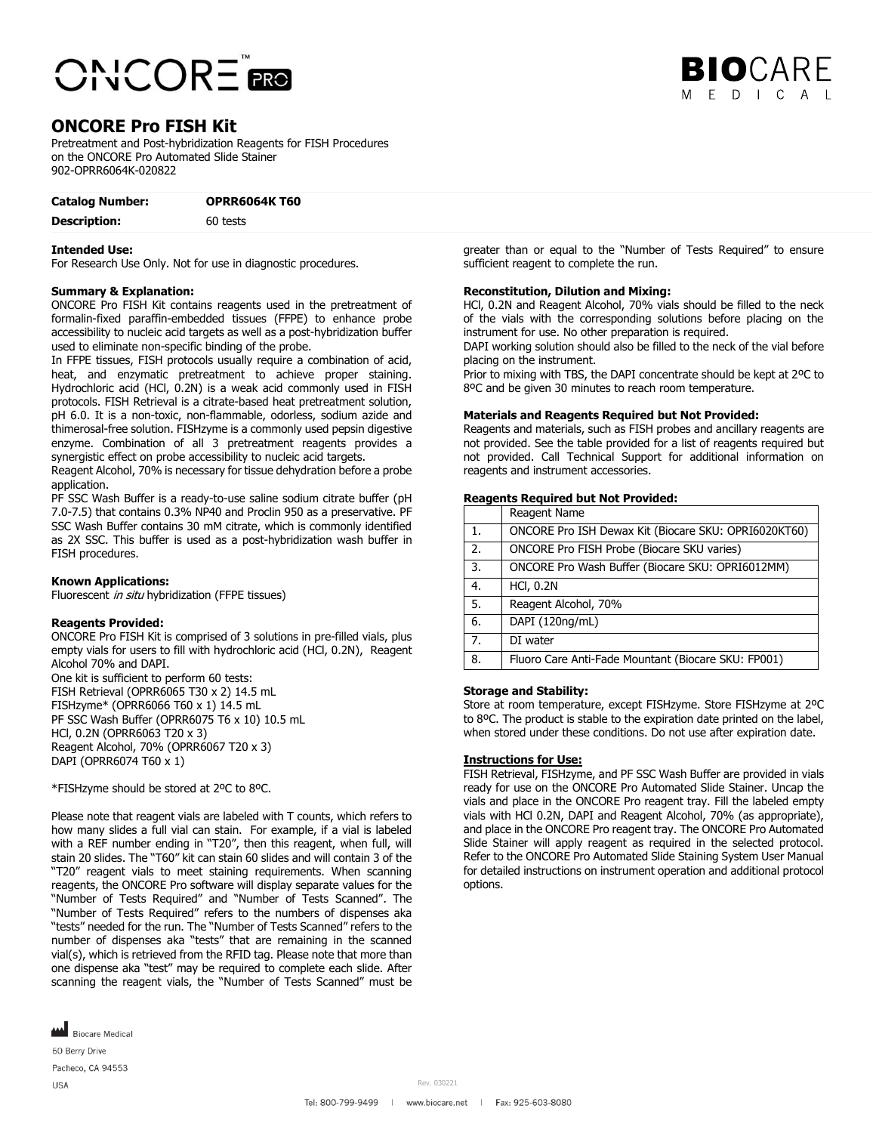



# **ONCORE Pro FISH Kit**

Pretreatment and Post-hybridization Reagents for FISH Procedures on the ONCORE Pro Automated Slide Stainer 902-OPRR6064K-020822

| <b>Catalog Number:</b> | <b>OPRR6064K T60</b> |
|------------------------|----------------------|
| <b>Description:</b>    | 60 tests             |

## **Intended Use:**

For Research Use Only. Not for use in diagnostic procedures.

## **Summary & Explanation:**

ONCORE Pro FISH Kit contains reagents used in the pretreatment of formalin-fixed paraffin-embedded tissues (FFPE) to enhance probe accessibility to nucleic acid targets as well as a post-hybridization buffer used to eliminate non-specific binding of the probe.

In FFPE tissues, FISH protocols usually require a combination of acid, heat, and enzymatic pretreatment to achieve proper staining. Hydrochloric acid (HCl, 0.2N) is a weak acid commonly used in FISH protocols. FISH Retrieval is a citrate-based heat pretreatment solution, pH 6.0. It is a non-toxic, non-flammable, odorless, sodium azide and thimerosal-free solution. FISHzyme is a commonly used pepsin digestive enzyme. Combination of all 3 pretreatment reagents provides a synergistic effect on probe accessibility to nucleic acid targets.

Reagent Alcohol, 70% is necessary for tissue dehydration before a probe application.

PF SSC Wash Buffer is a ready-to-use saline sodium citrate buffer (pH 7.0-7.5) that contains 0.3% NP40 and Proclin 950 as a preservative. PF SSC Wash Buffer contains 30 mM citrate, which is commonly identified as 2X SSC. This buffer is used as a post-hybridization wash buffer in FISH procedures.

## **Known Applications:**

Fluorescent in situ hybridization (FFPE tissues)

#### **Reagents Provided:**

ONCORE Pro FISH Kit is comprised of 3 solutions in pre-filled vials, plus empty vials for users to fill with hydrochloric acid (HCl, 0.2N), Reagent Alcohol 70% and DAPI.

One kit is sufficient to perform 60 tests: FISH Retrieval (OPRR6065 T30 x 2) 14.5 mL FISHzyme\* (OPRR6066 T60 x 1) 14.5 mL PF SSC Wash Buffer (OPRR6075 T6 x 10) 10.5 mL HCl, 0.2N (OPRR6063 T20 x 3) Reagent Alcohol, 70% (OPRR6067 T20 x 3) DAPI (OPRR6074 T60 x 1)

\*FISHzyme should be stored at 2ºC to 8ºC.

Please note that reagent vials are labeled with T counts, which refers to how many slides a full vial can stain. For example, if a vial is labeled with a REF number ending in "T20", then this reagent, when full, will stain 20 slides. The "T60" kit can stain 60 slides and will contain 3 of the "T20" reagent vials to meet staining requirements. When scanning reagents, the ONCORE Pro software will display separate values for the "Number of Tests Required" and "Number of Tests Scanned". The "Number of Tests Required" refers to the numbers of dispenses aka "tests" needed for the run. The "Number of Tests Scanned" refers to the number of dispenses aka "tests" that are remaining in the scanned vial(s), which is retrieved from the RFID tag. Please note that more than one dispense aka "test" may be required to complete each slide. After scanning the reagent vials, the "Number of Tests Scanned" must be

**MAN** Biocare Medical 60 Berry Drive

Pacheco, CA 94553 **USA** 

greater than or equal to the "Number of Tests Required" to ensure sufficient reagent to complete the run.

## **Reconstitution, Dilution and Mixing:**

HCl, 0.2N and Reagent Alcohol, 70% vials should be filled to the neck of the vials with the corresponding solutions before placing on the instrument for use. No other preparation is required.

DAPI working solution should also be filled to the neck of the vial before placing on the instrument.

Prior to mixing with TBS, the DAPI concentrate should be kept at 2ºC to 8ºC and be given 30 minutes to reach room temperature.

## **Materials and Reagents Required but Not Provided:**

Reagents and materials, such as FISH probes and ancillary reagents are not provided. See the table provided for a list of reagents required but not provided. Call Technical Support for additional information on reagents and instrument accessories.

#### **Reagents Required but Not Provided:**

|    | Reagent Name                                         |
|----|------------------------------------------------------|
| 1. | ONCORE Pro ISH Dewax Kit (Biocare SKU: OPRI6020KT60) |
| 2. | ONCORE Pro FISH Probe (Biocare SKU varies)           |
| 3. | ONCORE Pro Wash Buffer (Biocare SKU: OPRI6012MM)     |
| 4. | <b>HCI, 0.2N</b>                                     |
| 5. | Reagent Alcohol, 70%                                 |
| 6. | DAPI (120ng/mL)                                      |
| 7. | DI water                                             |
| 8. | Fluoro Care Anti-Fade Mountant (Biocare SKU: FP001)  |

#### **Storage and Stability:**

Store at room temperature, except FISHzyme. Store FISHzyme at 2ºC to 8ºC. The product is stable to the expiration date printed on the label, when stored under these conditions. Do not use after expiration date.

#### **Instructions for Use:**

FISH Retrieval, FISHzyme, and PF SSC Wash Buffer are provided in vials ready for use on the ONCORE Pro Automated Slide Stainer. Uncap the vials and place in the ONCORE Pro reagent tray. Fill the labeled empty vials with HCl 0.2N, DAPI and Reagent Alcohol, 70% (as appropriate), and place in the ONCORE Pro reagent tray. The ONCORE Pro Automated Slide Stainer will apply reagent as required in the selected protocol. Refer to the ONCORE Pro Automated Slide Staining System User Manual for detailed instructions on instrument operation and additional protocol options.